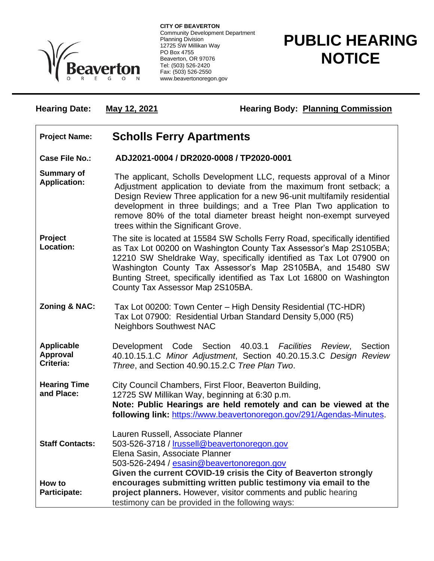

**CITY OF BEAVERTON** Community Development Department Planning Division 12725 SW Millikan Way PO Box 4755 Beaverton, OR 97076 Tel: (503) 526-2420 Fax: (503) 526-2550 www.beavertonoregon.gov

## **PUBLIC HEARING NOTICE**

**Hearing Date:** May 12, 2021 **Hearing Body:** Planning Commission

## **Project Name: Scholls Ferry Apartments**

**Case File No.: ADJ2021-0004 / DR2020-0008 / TP2020-0001**

- **Summary of Application:** The applicant, Scholls Development LLC, requests approval of a Minor Adjustment application to deviate from the maximum front setback; a Design Review Three application for a new 96-unit multifamily residential development in three buildings; and a Tree Plan Two application to remove 80% of the total diameter breast height non-exempt surveyed trees within the Significant Grove.
- **Project Location:** The site is located at 15584 SW Scholls Ferry Road, specifically identified as Tax Lot 00200 on Washington County Tax Assessor's Map 2S105BA; 12210 SW Sheldrake Way, specifically identified as Tax Lot 07900 on Washington County Tax Assessor's Map 2S105BA, and 15480 SW Bunting Street, specifically identified as Tax Lot 16800 on Washington County Tax Assessor Map 2S105BA.
- **Zoning & NAC:** Tax Lot 00200: Town Center High Density Residential (TC-HDR) Tax Lot 07900: Residential Urban Standard Density 5,000 (R5) Neighbors Southwest NAC
- **Applicable Approval Criteria:** Development Code Section 40.03.1 *Facilities Review*, Section 40.10.15.1.C *Minor Adjustment*, Section 40.20.15.3.C *Design Review Three*, and Section 40.90.15.2.C *Tree Plan Two*.
- **Hearing Time and Place:** City Council Chambers, First Floor, Beaverton Building, 12725 SW Millikan Way, beginning at 6:30 p.m. **Note: Public Hearings are held remotely and can be viewed at the following link:** [https://www.beavertonoregon.gov/291/Agendas-Minutes.](https://www.beavertonoregon.gov/291/Agendas-Minutes) Lauren Russell, Associate Planner
- **Staff Contacts:** 503-526-3718 / [lrussell@beavertonoregon.gov](mailto:lrussell@beavertonoregon.gov) Elena Sasin, Associate Planner 503-526-2494 / [esasin@beavertonoregon.gov](mailto:esasin@beavertonoregon.gov) **How to Participate: Given the current COVID-19 crisis the City of Beaverton strongly encourages submitting written public testimony via email to the project planners.** However, visitor comments and public hearing testimony can be provided in the following ways: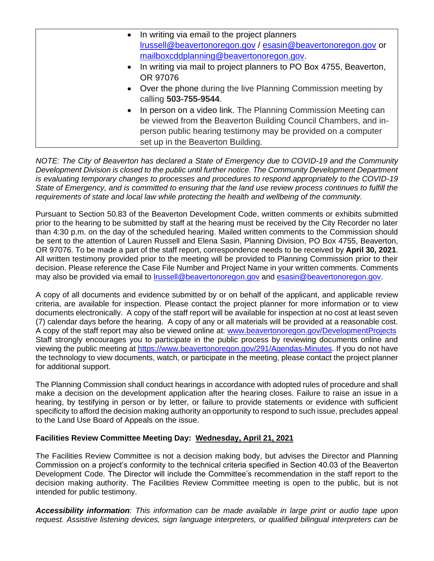| • In writing via email to the project planners<br>Irussell@beavertonoregon.gov / esasin@beavertonoregon.gov or                                                                                                                            |
|-------------------------------------------------------------------------------------------------------------------------------------------------------------------------------------------------------------------------------------------|
| mailboxcddplanning@beavertonoregon.gov.                                                                                                                                                                                                   |
| • In writing via mail to project planners to PO Box 4755, Beaverton,<br>OR 97076                                                                                                                                                          |
| • Over the phone during the live Planning Commission meeting by<br>calling 503-755-9544.                                                                                                                                                  |
| • In person on a video link. The Planning Commission Meeting can<br>be viewed from the Beaverton Building Council Chambers, and in-<br>person public hearing testimony may be provided on a computer<br>set up in the Beaverton Building. |

*NOTE: The City of Beaverton has declared a State of Emergency due to COVID-19 and the Community Development Division is closed to the public until further notice. The Community Development Department is evaluating temporary changes to processes and procedures to respond appropriately to the COVID-19 State of Emergency, and is committed to ensuring that the land use review process continues to fulfill the requirements of state and local law while protecting the health and wellbeing of the community.*

Pursuant to Section 50.83 of the Beaverton Development Code, written comments or exhibits submitted prior to the hearing to be submitted by staff at the hearing must be received by the City Recorder no later than 4:30 p.m. on the day of the scheduled hearing. Mailed written comments to the Commission should be sent to the attention of Lauren Russell and Elena Sasin, Planning Division, PO Box 4755, Beaverton, OR 97076. To be made a part of the staff report, correspondence needs to be received by **April 30, 2021**. All written testimony provided prior to the meeting will be provided to Planning Commission prior to their decision. Please reference the Case File Number and Project Name in your written comments. Comments may also be provided via email to [lrussell@beavertonoregon.gov](mailto:lrussell@beavertonoregon.gov) and [esasin@beavertonoregon.gov.](mailto:esasin@beavertonoregon.gov)

A copy of all documents and evidence submitted by or on behalf of the applicant, and applicable review criteria, are available for inspection. Please contact the project planner for more information or to view documents electronically. A copy of the staff report will be available for inspection at no cost at least seven (7) calendar days before the hearing. A copy of any or all materials will be provided at a reasonable cost. A copy of the staff report may also be viewed online at: [www.beavertonoregon.gov/DevelopmentProjects](http://www.beavertonoregon.gov/DevelopmentProjects) Staff strongly encourages you to participate in the public process by reviewing documents online and viewing the public meeting at [https://www.beavertonoregon.gov/291/Agendas-Minutes.](https://www.beavertonoregon.gov/291/Agendas-Minutes) If you do not have the technology to view documents, watch, or participate in the meeting, please contact the project planner for additional support.

The Planning Commission shall conduct hearings in accordance with adopted rules of procedure and shall make a decision on the development application after the hearing closes. Failure to raise an issue in a hearing, by testifying in person or by letter, or failure to provide statements or evidence with sufficient specificity to afford the decision making authority an opportunity to respond to such issue, precludes appeal to the Land Use Board of Appeals on the issue.

## **Facilities Review Committee Meeting Day: Wednesday, April 21, 2021**

The Facilities Review Committee is not a decision making body, but advises the Director and Planning Commission on a project's conformity to the technical criteria specified in Section 40.03 of the Beaverton Development Code. The Director will include the Committee's recommendation in the staff report to the decision making authority. The Facilities Review Committee meeting is open to the public, but is not intended for public testimony.

*Accessibility information: This information can be made available in large print or audio tape upon request. Assistive listening devices, sign language interpreters, or qualified bilingual interpreters can be*